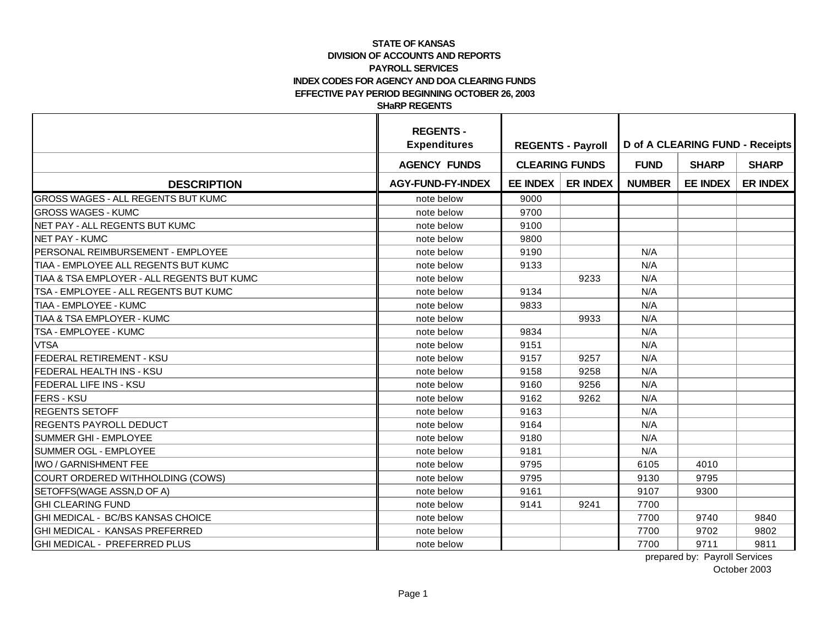|                                            | <b>REGENTS -</b><br><b>Expenditures</b> | <b>REGENTS - Payroll</b> |                 | <b>D</b> of A CLEARING FUND - Receipts |                 |                 |  |
|--------------------------------------------|-----------------------------------------|--------------------------|-----------------|----------------------------------------|-----------------|-----------------|--|
|                                            | <b>AGENCY FUNDS</b>                     | <b>CLEARING FUNDS</b>    |                 | <b>FUND</b>                            | <b>SHARP</b>    | <b>SHARP</b>    |  |
| <b>DESCRIPTION</b>                         | <b>AGY-FUND-FY-INDEX</b>                | <b>EE INDEX</b>          | <b>ER INDEX</b> | <b>NUMBER</b>                          | <b>EE INDEX</b> | <b>ER INDEX</b> |  |
| GROSS WAGES - ALL REGENTS BUT KUMC         | note below                              | 9000                     |                 |                                        |                 |                 |  |
| <b>GROSS WAGES - KUMC</b>                  | note below                              | 9700                     |                 |                                        |                 |                 |  |
| NET PAY - ALL REGENTS BUT KUMC             | note below                              | 9100                     |                 |                                        |                 |                 |  |
| <b>NET PAY - KUMC</b>                      | note below                              | 9800                     |                 |                                        |                 |                 |  |
| PERSONAL REIMBURSEMENT - EMPLOYEE          | note below                              | 9190                     |                 | N/A                                    |                 |                 |  |
| TIAA - EMPLOYEE ALL REGENTS BUT KUMC       | note below                              | 9133                     |                 | N/A                                    |                 |                 |  |
| TIAA & TSA EMPLOYER - ALL REGENTS BUT KUMC | note below                              |                          | 9233            | N/A                                    |                 |                 |  |
| TSA - EMPLOYEE - ALL REGENTS BUT KUMC      | note below                              | 9134                     |                 | N/A                                    |                 |                 |  |
| TIAA - EMPLOYEE - KUMC                     | note below                              | 9833                     |                 | N/A                                    |                 |                 |  |
| TIAA & TSA EMPLOYER - KUMC                 | note below                              |                          | 9933            | N/A                                    |                 |                 |  |
| TSA - EMPLOYEE - KUMC                      | note below                              | 9834                     |                 | N/A                                    |                 |                 |  |
| <b>VTSA</b>                                | note below                              | 9151                     |                 | N/A                                    |                 |                 |  |
| FEDERAL RETIREMENT - KSU                   | note below                              | 9157                     | 9257            | N/A                                    |                 |                 |  |
| FEDERAL HEALTH INS - KSU                   | note below                              | 9158                     | 9258            | N/A                                    |                 |                 |  |
| FEDERAL LIFE INS - KSU                     | note below                              | 9160                     | 9256            | N/A                                    |                 |                 |  |
| <b>FERS - KSU</b>                          | note below                              | 9162                     | 9262            | N/A                                    |                 |                 |  |
| <b>REGENTS SETOFF</b>                      | note below                              | 9163                     |                 | N/A                                    |                 |                 |  |
| REGENTS PAYROLL DEDUCT                     | note below                              | 9164                     |                 | N/A                                    |                 |                 |  |
| SUMMER GHI - EMPLOYEE                      | note below                              | 9180                     |                 | N/A                                    |                 |                 |  |
| SUMMER OGL - EMPLOYEE                      | note below                              | 9181                     |                 | N/A                                    |                 |                 |  |
| <b>IWO / GARNISHMENT FEE</b>               | note below                              | 9795                     |                 | 6105                                   | 4010            |                 |  |
| COURT ORDERED WITHHOLDING (COWS)           | note below                              | 9795                     |                 | 9130                                   | 9795            |                 |  |
| SETOFFS(WAGE ASSN,D OF A)                  | note below                              | 9161                     |                 | 9107                                   | 9300            |                 |  |
| <b>GHI CLEARING FUND</b>                   | note below                              | 9141                     | 9241            | 7700                                   |                 |                 |  |
| GHI MEDICAL - BC/BS KANSAS CHOICE          | note below                              |                          |                 | 7700                                   | 9740            | 9840            |  |
| GHI MEDICAL - KANSAS PREFERRED             | note below                              |                          |                 | 7700                                   | 9702            | 9802            |  |
| GHI MEDICAL - PREFERRED PLUS               | note below                              |                          |                 | 7700                                   | 9711            | 9811            |  |

prepared by: Payroll Services October 2003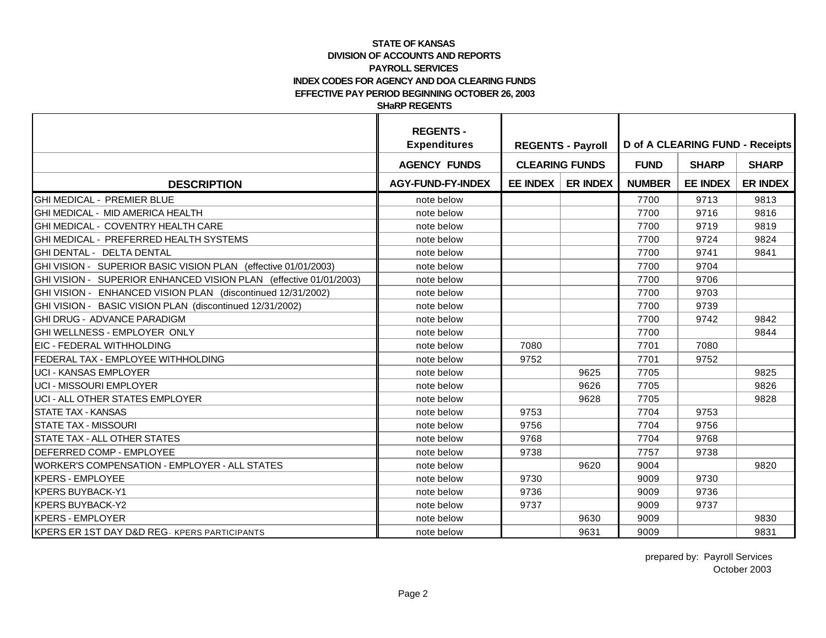|                                                                   | <b>REGENTS -</b><br><b>Expenditures</b> | <b>REGENTS - Payroll</b> |                 | <b>D</b> of A CLEARING FUND - Receipts |                 |                 |  |
|-------------------------------------------------------------------|-----------------------------------------|--------------------------|-----------------|----------------------------------------|-----------------|-----------------|--|
|                                                                   | <b>AGENCY FUNDS</b>                     | <b>CLEARING FUNDS</b>    |                 | <b>FUND</b>                            | <b>SHARP</b>    | <b>SHARP</b>    |  |
| <b>DESCRIPTION</b>                                                | <b>AGY-FUND-FY-INDEX</b>                | <b>EE INDEX</b>          | <b>ER INDEX</b> | <b>NUMBER</b>                          | <b>EE INDEX</b> | <b>ER INDEX</b> |  |
| GHI MEDICAL - PREMIER BLUE                                        | note below                              |                          |                 | 7700                                   | 9713            | 9813            |  |
| GHI MEDICAL - MID AMERICA HEALTH                                  | note below                              |                          |                 | 7700                                   | 9716            | 9816            |  |
| GHI MEDICAL - COVENTRY HEALTH CARE                                | note below                              |                          |                 | 7700                                   | 9719            | 9819            |  |
| GHI MEDICAL - PREFERRED HEALTH SYSTEMS                            | note below                              |                          |                 | 7700                                   | 9724            | 9824            |  |
| GHI DENTAL - DELTA DENTAL                                         | note below                              |                          |                 | 7700                                   | 9741            | 9841            |  |
| GHI VISION - SUPERIOR BASIC VISION PLAN (effective 01/01/2003)    | note below                              |                          |                 | 7700                                   | 9704            |                 |  |
| GHI VISION - SUPERIOR ENHANCED VISION PLAN (effective 01/01/2003) | note below                              |                          |                 | 7700                                   | 9706            |                 |  |
| GHI VISION - ENHANCED VISION PLAN (discontinued 12/31/2002)       | note below                              |                          |                 | 7700                                   | 9703            |                 |  |
| GHI VISION - BASIC VISION PLAN (discontinued 12/31/2002)          | note below                              |                          |                 | 7700                                   | 9739            |                 |  |
| <b>GHI DRUG - ADVANCE PARADIGM</b>                                | note below                              |                          |                 | 7700                                   | 9742            | 9842            |  |
| GHI WELLNESS - EMPLOYER ONLY                                      | note below                              |                          |                 | 7700                                   |                 | 9844            |  |
| <b>EIC - FEDERAL WITHHOLDING</b>                                  | note below                              | 7080                     |                 | 7701                                   | 7080            |                 |  |
| FEDERAL TAX - EMPLOYEE WITHHOLDING                                | note below                              | 9752                     |                 | 7701                                   | 9752            |                 |  |
| <b>UCI - KANSAS EMPLOYER</b>                                      | note below                              |                          | 9625            | 7705                                   |                 | 9825            |  |
| <b>UCI - MISSOURI EMPLOYER</b>                                    | note below                              |                          | 9626            | 7705                                   |                 | 9826            |  |
| UCI - ALL OTHER STATES EMPLOYER                                   | note below                              |                          | 9628            | 7705                                   |                 | 9828            |  |
| <b>STATE TAX - KANSAS</b>                                         | note below                              | 9753                     |                 | 7704                                   | 9753            |                 |  |
| <b>STATE TAX - MISSOURI</b>                                       | note below                              | 9756                     |                 | 7704                                   | 9756            |                 |  |
| <b>STATE TAX - ALL OTHER STATES</b>                               | note below                              | 9768                     |                 | 7704                                   | 9768            |                 |  |
| DEFERRED COMP - EMPLOYEE                                          | note below                              | 9738                     |                 | 7757                                   | 9738            |                 |  |
| <b>WORKER'S COMPENSATION - EMPLOYER - ALL STATES</b>              | note below                              |                          | 9620            | 9004                                   |                 | 9820            |  |
| <b>KPERS - EMPLOYEE</b>                                           | note below                              | 9730                     |                 | 9009                                   | 9730            |                 |  |
| <b>KPERS BUYBACK-Y1</b>                                           | note below                              | 9736                     |                 | 9009                                   | 9736            |                 |  |
| <b>KPERS BUYBACK-Y2</b>                                           | note below                              | 9737                     |                 | 9009                                   | 9737            |                 |  |
| <b>KPERS - EMPLOYER</b>                                           | note below                              |                          | 9630            | 9009                                   |                 | 9830            |  |
| <b>KPERS ER 1ST DAY D&amp;D REG- KPERS PARTICIPANTS</b>           | note below                              |                          | 9631            | 9009                                   |                 | 9831            |  |

prepared by: Payroll Services October 2003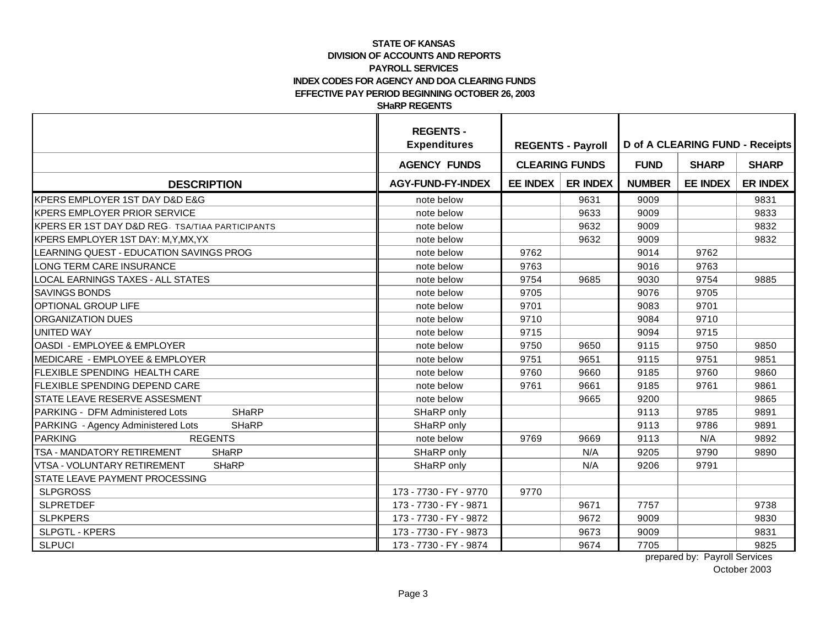|                                                            | <b>REGENTS -</b><br><b>Expenditures</b> | <b>REGENTS - Payroll</b> |                 | <b>D</b> of A CLEARING FUND - Receipts |                 |                 |  |
|------------------------------------------------------------|-----------------------------------------|--------------------------|-----------------|----------------------------------------|-----------------|-----------------|--|
|                                                            | <b>AGENCY FUNDS</b>                     | <b>CLEARING FUNDS</b>    |                 | <b>FUND</b>                            | <b>SHARP</b>    | <b>SHARP</b>    |  |
| <b>DESCRIPTION</b>                                         | <b>AGY-FUND-FY-INDEX</b>                | <b>EE INDEX</b>          | <b>ER INDEX</b> | <b>NUMBER</b>                          | <b>EE INDEX</b> | <b>ER INDEX</b> |  |
| IKPERS EMPLOYER 1ST DAY D&D E&G                            | note below                              |                          | 9631            | 9009                                   |                 | 9831            |  |
| <b>KPERS EMPLOYER PRIOR SERVICE</b>                        | note below                              |                          | 9633            | 9009                                   |                 | 9833            |  |
| <b>KPERS ER 1ST DAY D&amp;D REG. TSA/TIAA PARTICIPANTS</b> | note below                              |                          | 9632            | 9009                                   |                 | 9832            |  |
| KPERS EMPLOYER 1ST DAY: M, Y, MX, YX                       | note below                              |                          | 9632            | 9009                                   |                 | 9832            |  |
| LEARNING QUEST - EDUCATION SAVINGS PROG                    | note below                              | 9762                     |                 | 9014                                   | 9762            |                 |  |
| LONG TERM CARE INSURANCE                                   | note below                              | 9763                     |                 | 9016                                   | 9763            |                 |  |
| LOCAL EARNINGS TAXES - ALL STATES                          | note below                              | 9754                     | 9685            | 9030                                   | 9754            | 9885            |  |
| <b>SAVINGS BONDS</b>                                       | note below                              | 9705                     |                 | 9076                                   | 9705            |                 |  |
| OPTIONAL GROUP LIFE                                        | note below                              | 9701                     |                 | 9083                                   | 9701            |                 |  |
| ORGANIZATION DUES                                          | note below                              | 9710                     |                 | 9084                                   | 9710            |                 |  |
| <b>UNITED WAY</b>                                          | note below                              | 9715                     |                 | 9094                                   | 9715            |                 |  |
| OASDI - EMPLOYEE & EMPLOYER                                | note below                              | 9750                     | 9650            | 9115                                   | 9750            | 9850            |  |
| MEDICARE - EMPLOYEE & EMPLOYER                             | note below                              | 9751                     | 9651            | 9115                                   | 9751            | 9851            |  |
| <b>FLEXIBLE SPENDING HEALTH CARE</b>                       | note below                              | 9760                     | 9660            | 9185                                   | 9760            | 9860            |  |
| <b>FLEXIBLE SPENDING DEPEND CARE</b>                       | note below                              | 9761                     | 9661            | 9185                                   | 9761            | 9861            |  |
| STATE LEAVE RESERVE ASSESMENT                              | note below                              |                          | 9665            | 9200                                   |                 | 9865            |  |
| <b>SHaRP</b><br>PARKING - DFM Administered Lots            | SHaRP only                              |                          |                 | 9113                                   | 9785            | 9891            |  |
| PARKING - Agency Administered Lots<br><b>SHaRP</b>         | SHaRP only                              |                          |                 | 9113                                   | 9786            | 9891            |  |
| <b>PARKING</b><br><b>REGENTS</b>                           | note below                              | 9769                     | 9669            | 9113                                   | N/A             | 9892            |  |
| TSA - MANDATORY RETIREMENT<br><b>SHaRP</b>                 | SHaRP only                              |                          | N/A             | 9205                                   | 9790            | 9890            |  |
| <b>VTSA - VOLUNTARY RETIREMENT</b><br><b>SHaRP</b>         | SHaRP only                              |                          | N/A             | 9206                                   | 9791            |                 |  |
| <b>STATE LEAVE PAYMENT PROCESSING</b>                      |                                         |                          |                 |                                        |                 |                 |  |
| <b>SLPGROSS</b>                                            | 173 - 7730 - FY - 9770                  | 9770                     |                 |                                        |                 |                 |  |
| <b>SLPRETDEF</b>                                           | 173 - 7730 - FY - 9871                  |                          | 9671            | 7757                                   |                 | 9738            |  |
| <b>SLPKPERS</b>                                            | 173 - 7730 - FY - 9872                  |                          | 9672            | 9009                                   |                 | 9830            |  |
| SLPGTL - KPERS                                             | 173 - 7730 - FY - 9873                  |                          | 9673            | 9009                                   |                 | 9831            |  |
| <b>SLPUCI</b>                                              | 173 - 7730 - FY - 9874                  |                          | 9674            | 7705                                   |                 | 9825            |  |

prepared by: Payroll Services October 2003